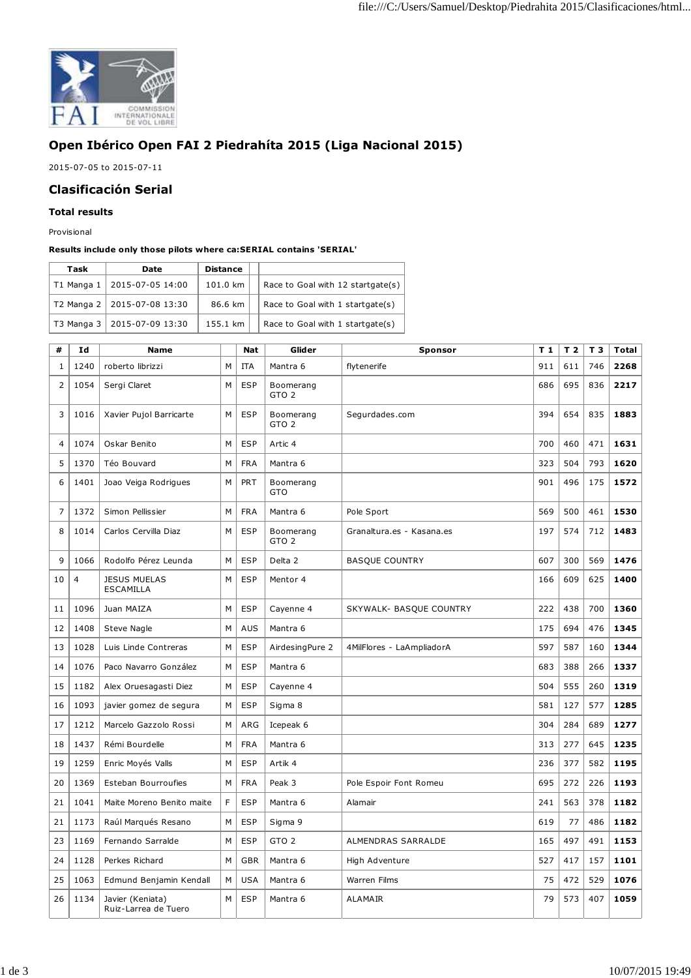

## **Open Ibérico Open FAI 2 Piedrahíta 2015 (Liga Nacional 2015)**

2015-07-05 to 2015-07-11

## **Clasificación Serial**

## **Total results**

Provisional

## **Results include only those pilots where ca:SERIAL contains 'SERIAL'**

| Task         | Date                          | <b>Distance</b> |                                   |
|--------------|-------------------------------|-----------------|-----------------------------------|
| $T1$ Manga 1 | 2015-07-05 14:00              | 101.0 km        | Race to Goal with 12 startgate(s) |
|              | T2 Manga 2   2015-07-08 13:30 | 86.6 km         | Race to Goal with 1 startgate(s)  |
| $T3$ Manga 3 | 2015-07-09 13:30              | 155.1 km        | Race to Goal with 1 startgate(s)  |

| #              | Id             | <b>Name</b>                              |   | <b>Nat</b> | Glider                        | Sponsor                        | T 1 | T <sub>2</sub> | T 3 | <b>Total</b> |
|----------------|----------------|------------------------------------------|---|------------|-------------------------------|--------------------------------|-----|----------------|-----|--------------|
| 1              | 1240           | roberto librizzi                         | M | <b>ITA</b> | Mantra 6                      | flytenerife                    | 911 | 611            | 746 | 2268         |
| $\overline{2}$ | 1054           | Sergi Claret                             | M | <b>ESP</b> | Boomerang<br>GTO <sub>2</sub> |                                | 686 | 695            | 836 | 2217         |
| 3              | 1016           | Xavier Pujol Barricarte                  | M | <b>ESP</b> | Boomerang<br>GTO <sub>2</sub> | Segurdades.com                 | 394 | 654            | 835 | 1883         |
| 4              | 1074           | Oskar Benito                             | M | <b>ESP</b> | Artic 4                       |                                | 700 | 460            | 471 | 1631         |
| 5              | 1370           | Téo Bouvard                              | М | <b>FRA</b> | Mantra 6                      |                                | 323 | 504            | 793 | 1620         |
| 6              | 1401           | Joao Veiga Rodrigues                     | М | PRT        | Boomerang<br>GTO              |                                | 901 | 496            | 175 | 1572         |
| $\overline{7}$ | 1372           | Simon Pellissier                         | M | <b>FRA</b> | Mantra 6                      | Pole Sport                     | 569 | 500            | 461 | 1530         |
| 8              | 1014           | Carlos Cervilla Diaz                     | M | <b>ESP</b> | Boomerang<br>GTO <sub>2</sub> | Granaltura.es - Kasana.es      | 197 | 574            | 712 | 1483         |
| 9              | 1066           | Rodolfo Pérez Leunda                     | M | <b>ESP</b> | Delta <sub>2</sub>            | <b>BASQUE COUNTRY</b>          | 607 | 300            | 569 | 1476         |
| 10             | $\overline{4}$ | <b>JESUS MUELAS</b><br><b>ESCAMILLA</b>  | M | <b>ESP</b> | Mentor 4                      |                                | 166 | 609            | 625 | 1400         |
| 11             | 1096           | Juan MAIZA                               | M | <b>ESP</b> | Cayenne 4                     | <b>SKYWALK- BASQUE COUNTRY</b> | 222 | 438            | 700 | 1360         |
| 12             | 1408           | Steve Nagle                              | M | AUS        | Mantra 6                      |                                | 175 | 694            | 476 | 1345         |
| 13             | 1028           | Luis Linde Contreras                     | М | <b>ESP</b> | AirdesingPure 2               | 4MilFlores - LaAmpliadorA      | 597 | 587            | 160 | 1344         |
| 14             | 1076           | Paco Navarro González                    | M | <b>ESP</b> | Mantra 6                      |                                | 683 | 388            | 266 | 1337         |
| 15             | 1182           | Alex Oruesagasti Diez                    | M | <b>ESP</b> | Cayenne 4                     |                                | 504 | 555            | 260 | 1319         |
| 16             | 1093           | javier gomez de segura                   | M | <b>ESP</b> | Sigma 8                       |                                | 581 | 127            | 577 | 1285         |
| 17             | 1212           | Marcelo Gazzolo Rossi                    | M | ARG        | Icepeak 6                     |                                | 304 | 284            | 689 | 1277         |
| 18             | 1437           | Rémi Bourdelle                           | M | <b>FRA</b> | Mantra 6                      |                                | 313 | 277            | 645 | 1235         |
| 19             | 1259           | Enric Moyés Valls                        | M | <b>ESP</b> | Artik 4                       |                                | 236 | 377            | 582 | 1195         |
| 20             | 1369           | Esteban Bourroufies                      | M | <b>FRA</b> | Peak 3                        | Pole Espoir Font Romeu         | 695 | 272            | 226 | 1193         |
| 21             | 1041           | Maite Moreno Benito maite                | F | <b>ESP</b> | Mantra 6                      | Alamair                        | 241 | 563            | 378 | 1182         |
| 21             | 1173           | Raúl Marqués Resano                      | M | <b>ESP</b> | Sigma 9                       |                                | 619 | 77             | 486 | 1182         |
| 23             | 1169           | Fernando Sarralde                        | M | <b>ESP</b> | GTO <sub>2</sub>              | ALMENDRAS SARRALDE             | 165 | 497            | 491 | 1153         |
| 24             | 1128           | Perkes Richard                           | M | <b>GBR</b> | Mantra 6                      | High Adventure                 | 527 | 417            | 157 | 1101         |
| 25             | 1063           | Edmund Benjamin Kendall                  | M | <b>USA</b> | Mantra 6                      | <b>Warren Films</b>            | 75  | 472            | 529 | 1076         |
| 26             | 1134           | Javier (Keniata)<br>Ruiz-Larrea de Tuero | M | <b>ESP</b> | Mantra 6                      | ALAMAIR                        | 79  | 573            | 407 | 1059         |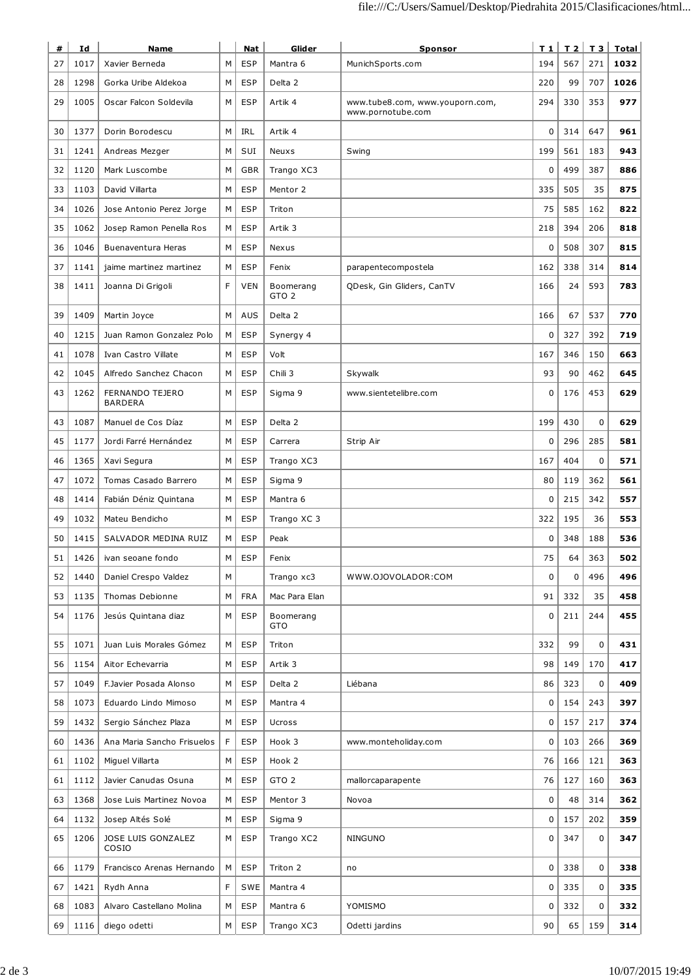| #  | Id   | <b>Name</b>                       |   | <b>Nat</b> | Glider                        | Sponsor                                              | T 1         | T <sub>2</sub> | T 3         | Total |
|----|------|-----------------------------------|---|------------|-------------------------------|------------------------------------------------------|-------------|----------------|-------------|-------|
| 27 | 1017 | Xavier Berneda                    | м | ESP        | Mantra 6                      | MunichSports.com                                     | 194         | 567            | 271         | 1032  |
| 28 | 1298 | Gorka Uribe Aldekoa               | М | <b>ESP</b> | Delta 2                       |                                                      | 220         | 99             | 707         | 1026  |
| 29 | 1005 | Oscar Falcon Soldevila            | М | <b>ESP</b> | Artik 4                       | www.tube8.com, www.youporn.com,<br>www.pornotube.com | 294         | 330            | 353         | 977   |
| 30 | 1377 | Dorin Borodescu                   | М | IRL        | Artik 4                       |                                                      | $\mathbf 0$ | 314            | 647         | 961   |
| 31 | 1241 | Andreas Mezger                    | M | SUI        | Neuxs                         | Swing                                                | 199         | 561            | 183         | 943   |
| 32 | 1120 | Mark Luscombe                     | М | <b>GBR</b> | Trango XC3                    |                                                      | 0           | 499            | 387         | 886   |
| 33 | 1103 | David Villarta                    | М | <b>ESP</b> | Mentor 2                      |                                                      | 335         | 505            | 35          | 875   |
| 34 | 1026 | Jose Antonio Perez Jorge          | М | <b>ESP</b> | Triton                        |                                                      | 75          | 585            | 162         | 822   |
| 35 | 1062 | Josep Ramon Penella Ros           | М | <b>ESP</b> | Artik <sub>3</sub>            |                                                      | 218         | 394            | 206         | 818   |
| 36 | 1046 | Buenaventura Heras                | M | <b>ESP</b> | Nexus                         |                                                      | 0           | 508            | 307         | 815   |
| 37 | 1141 | jaime martinez martinez           | М | <b>ESP</b> | Fenix                         | parapentecompostela                                  | 162         | 338            | 314         | 814   |
| 38 | 1411 | Joanna Di Grigoli                 | F | <b>VEN</b> | Boomerang<br>GTO <sub>2</sub> | QDesk, Gin Gliders, CanTV                            | 166         | 24             | 593         | 783   |
| 39 | 1409 | Martin Joyce                      | M | AUS        | Delta 2                       |                                                      | 166         | 67             | 537         | 770   |
| 40 | 1215 | Juan Ramon Gonzalez Polo          | М | <b>ESP</b> | Synergy 4                     |                                                      | $\mathbf 0$ | 327            | 392         | 719   |
| 41 | 1078 | Ivan Castro Villate               | М | <b>ESP</b> | Volt                          |                                                      | 167         | 346            | 150         | 663   |
| 42 | 1045 | Alfredo Sanchez Chacon            | М | <b>ESP</b> | Chili 3                       | Skywalk                                              | 93          | 90             | 462         | 645   |
| 43 | 1262 | FERNANDO TEJERO<br><b>BARDERA</b> | M | <b>ESP</b> | Sigma 9                       | www.sientetelibre.com                                | 0           | 176            | 453         | 629   |
| 43 | 1087 | Manuel de Cos Díaz                | M | <b>ESP</b> | Delta 2                       |                                                      | 199         | 430            | $\mathbf 0$ | 629   |
| 45 | 1177 | Jordi Farré Hernández             | М | <b>ESP</b> | Carrera                       | Strip Air                                            | $\mathbf 0$ | 296            | 285         | 581   |
| 46 | 1365 | Xavi Segura                       | М | <b>ESP</b> | Trango XC3                    |                                                      | 167         | 404            | 0           | 571   |
| 47 | 1072 | Tomas Casado Barrero              | М | <b>ESP</b> | Sigma 9                       |                                                      | 80          | 119            | 362         | 561   |
| 48 | 1414 | Fabián Déniz Quintana             | М | <b>ESP</b> | Mantra 6                      |                                                      | 0           | 215            | 342         | 557   |
| 49 | 1032 | Mateu Bendicho                    | M | <b>ESP</b> | Trango XC 3                   |                                                      | 322         | 195            | 36          | 553   |
| 50 | 1415 | SALVADOR MEDINA RUIZ              | М | <b>ESP</b> | Peak                          |                                                      | $\mathbf 0$ | 348            | 188         | 536   |
| 51 | 1426 | ivan seoane fondo                 | М | <b>ESP</b> | Fenix                         |                                                      | 75          | 64             | 363         | 502   |
| 52 | 1440 | Daniel Crespo Valdez              | М |            | Trango xc3                    | WWW.OJOVOLADOR:COM                                   | 0           | $\mathbf 0$    | 496         | 496   |
| 53 | 1135 | Thomas Debionne                   | М | <b>FRA</b> | Mac Para Elan                 |                                                      | 91          | 332            | 35          | 458   |
| 54 | 1176 | Jesús Quintana diaz               | М | <b>ESP</b> | Boomerang<br>GTO              |                                                      | 0           | 211            | 244         | 455   |
| 55 | 1071 | Juan Luis Morales Gómez           | М | <b>ESP</b> | Triton                        |                                                      | 332         | 99             | 0           | 431   |
| 56 | 1154 | Aitor Echevarria                  | М | <b>ESP</b> | Artik 3                       |                                                      | 98          | 149            | 170         | 417   |
| 57 | 1049 | F.Javier Posada Alonso            | М | <b>ESP</b> | Delta 2                       | Liébana                                              | 86          | 323            | 0           | 409   |
| 58 | 1073 | Eduardo Lindo Mimoso              | М | <b>ESP</b> | Mantra 4                      |                                                      | 0           | 154            | 243         | 397   |
| 59 | 1432 | Sergio Sánchez Plaza              | М | <b>ESP</b> | <b>Ucross</b>                 |                                                      | 0           | 157            | 217         | 374   |
| 60 | 1436 | Ana Maria Sancho Frisuelos        | F | <b>ESP</b> | Hook 3                        | www.monteholiday.com                                 | 0           | 103            | 266         | 369   |
| 61 | 1102 | Miguel Villarta                   | М | <b>ESP</b> | Hook 2                        |                                                      | 76          | 166            | 121         | 363   |
| 61 | 1112 | Javier Canudas Osuna              | М | <b>ESP</b> | GTO <sub>2</sub>              | mallorcaparapente                                    | 76          | 127            | 160         | 363   |
| 63 | 1368 | Jose Luis Martinez Novoa          | М | <b>ESP</b> | Mentor 3                      | Novoa                                                | 0           | 48             | 314         | 362   |
| 64 | 1132 | Josep Altés Solé                  | M | <b>ESP</b> | Sigma 9                       |                                                      | 0           | 157            | 202         | 359   |
| 65 | 1206 | JOSE LUIS GONZALEZ<br>COSIO       | М | <b>ESP</b> | Trango XC2                    | <b>NINGUNO</b>                                       | 0           | 347            | $\mathbf 0$ | 347   |
| 66 | 1179 | Francisco Arenas Hernando         | М | <b>ESP</b> | Triton 2                      | no                                                   | $\pmb{0}$   | 338            | 0           | 338   |
| 67 | 1421 | Rydh Anna                         | F | SWE        | Mantra 4                      |                                                      | $\pmb{0}$   | 335            | 0           | 335   |
| 68 | 1083 | Alvaro Castellano Molina          | М | <b>ESP</b> | Mantra 6                      | YOMISMO                                              | 0           | 332            | 0           | 332   |
| 69 | 1116 | diego odetti                      | М | <b>ESP</b> | Trango XC3                    | Odetti jardins                                       | 90          | 65             | 159         | 314   |